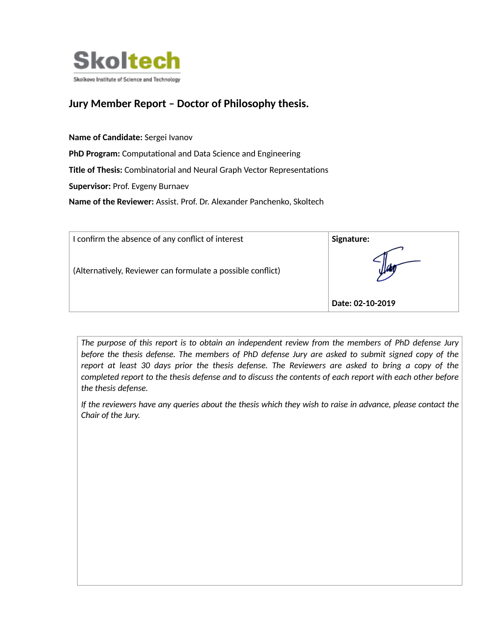

## **Jury Member Report – Doctor of Philosophy thesis.**

**Name of Candidate:** Sergei Ivanov PhD Program: Computational and Data Science and Engineering Title of Thesis: Combinatorial and Neural Graph Vector Representations **Supervisor:** Prof. Evgeny Burnaev **Name of the Reviewer:** Assist. Prof. Dr. Alexander Panchenko, Skoltech

| I confirm the absence of any conflict of interest           | Signature:       |
|-------------------------------------------------------------|------------------|
| (Alternatively, Reviewer can formulate a possible conflict) |                  |
|                                                             | Date: 02-10-2019 |

*The purpose of this report is to obtain an independent review from the members of PhD defense Jury before the thesis defense. The members of PhD defense Jury are asked to submit signed copy of the report at least 30 days prior the thesis defense. The Reviewers are asked to bring a copy of the completed report to the thesis defense and to discuss the contents of each report with each other before the thesis defense.* 

*If the reviewers have any queries about the thesis which they wish to raise in advance, please contact the Chair of the Jury.*